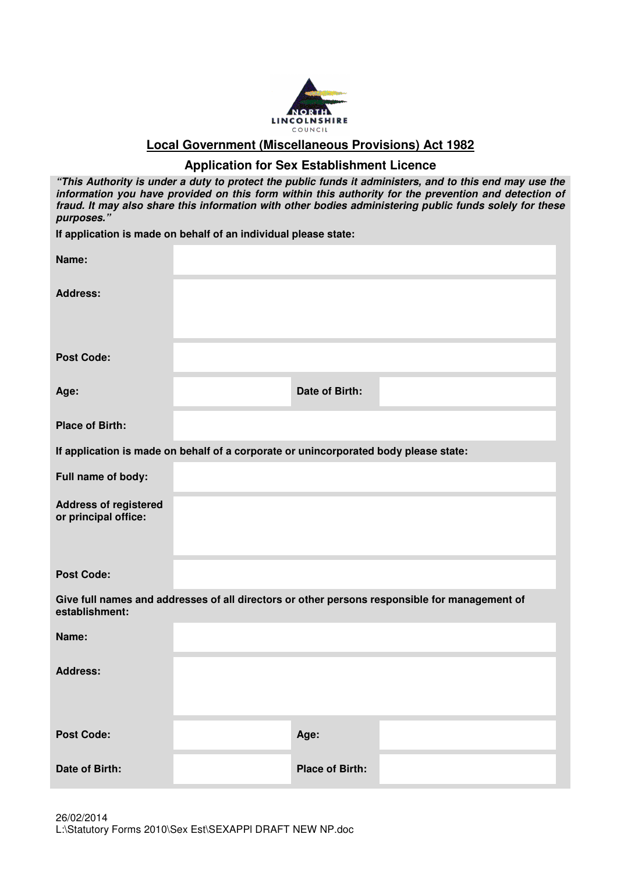

**Local Government (Miscellaneous Provisions) Act 1982**

## **Application for Sex Establishment Licence**

| "This Authority is under a duty to protect the public funds it administers, and to this end may use the<br>information you have provided on this form within this authority for the prevention and detection of<br>fraud. It may also share this information with other bodies administering public funds solely for these<br>purposes." |                                                                                      |                        |                                                                                               |  |  |  |
|------------------------------------------------------------------------------------------------------------------------------------------------------------------------------------------------------------------------------------------------------------------------------------------------------------------------------------------|--------------------------------------------------------------------------------------|------------------------|-----------------------------------------------------------------------------------------------|--|--|--|
| If application is made on behalf of an individual please state:                                                                                                                                                                                                                                                                          |                                                                                      |                        |                                                                                               |  |  |  |
| Name:                                                                                                                                                                                                                                                                                                                                    |                                                                                      |                        |                                                                                               |  |  |  |
| <b>Address:</b>                                                                                                                                                                                                                                                                                                                          |                                                                                      |                        |                                                                                               |  |  |  |
| <b>Post Code:</b>                                                                                                                                                                                                                                                                                                                        |                                                                                      |                        |                                                                                               |  |  |  |
| Age:                                                                                                                                                                                                                                                                                                                                     |                                                                                      | Date of Birth:         |                                                                                               |  |  |  |
| <b>Place of Birth:</b>                                                                                                                                                                                                                                                                                                                   |                                                                                      |                        |                                                                                               |  |  |  |
|                                                                                                                                                                                                                                                                                                                                          | If application is made on behalf of a corporate or unincorporated body please state: |                        |                                                                                               |  |  |  |
| Full name of body:                                                                                                                                                                                                                                                                                                                       |                                                                                      |                        |                                                                                               |  |  |  |
| <b>Address of registered</b><br>or principal office:                                                                                                                                                                                                                                                                                     |                                                                                      |                        |                                                                                               |  |  |  |
| <b>Post Code:</b>                                                                                                                                                                                                                                                                                                                        |                                                                                      |                        |                                                                                               |  |  |  |
| establishment:                                                                                                                                                                                                                                                                                                                           |                                                                                      |                        | Give full names and addresses of all directors or other persons responsible for management of |  |  |  |
| Name:                                                                                                                                                                                                                                                                                                                                    |                                                                                      |                        |                                                                                               |  |  |  |
| <b>Address:</b>                                                                                                                                                                                                                                                                                                                          |                                                                                      |                        |                                                                                               |  |  |  |
| <b>Post Code:</b>                                                                                                                                                                                                                                                                                                                        |                                                                                      | Age:                   |                                                                                               |  |  |  |
| Date of Birth:                                                                                                                                                                                                                                                                                                                           |                                                                                      | <b>Place of Birth:</b> |                                                                                               |  |  |  |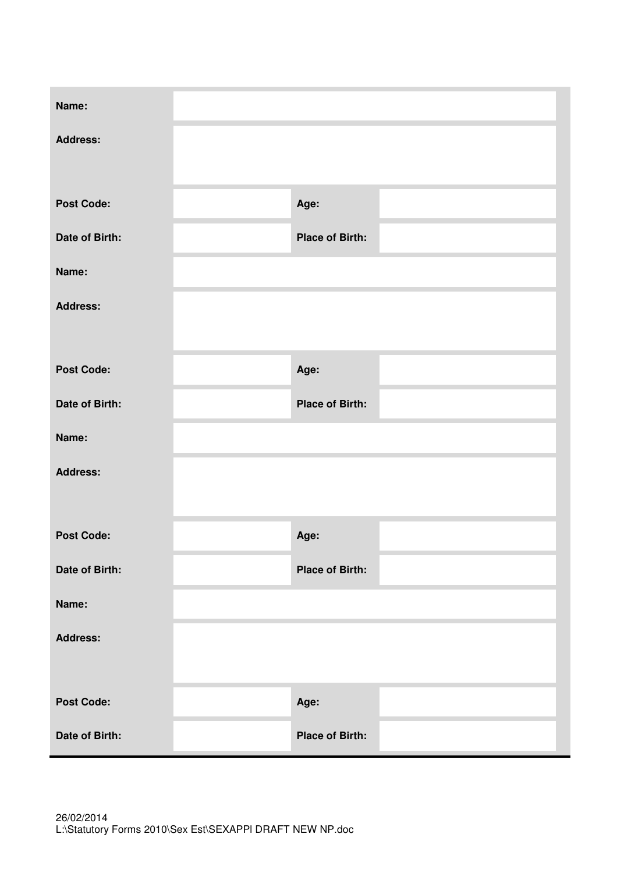| Name:             |                        |  |
|-------------------|------------------------|--|
| <b>Address:</b>   |                        |  |
| <b>Post Code:</b> | Age:                   |  |
| Date of Birth:    | <b>Place of Birth:</b> |  |
| Name:             |                        |  |
| <b>Address:</b>   |                        |  |
|                   |                        |  |
| <b>Post Code:</b> | Age:                   |  |
| Date of Birth:    | <b>Place of Birth:</b> |  |
| Name:             |                        |  |
| <b>Address:</b>   |                        |  |
|                   |                        |  |
| <b>Post Code:</b> | Age:                   |  |
| Date of Birth:    | <b>Place of Birth:</b> |  |
| Name:             |                        |  |
| <b>Address:</b>   |                        |  |
|                   |                        |  |
| <b>Post Code:</b> | Age:                   |  |
| Date of Birth:    | <b>Place of Birth:</b> |  |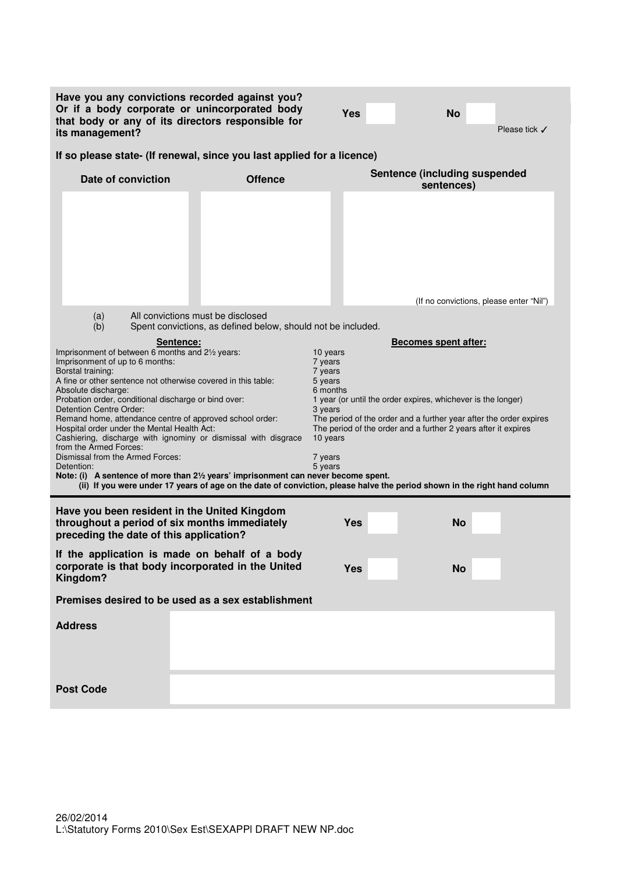| Have you any convictions recorded against you?<br>Or if a body corporate or unincorporated body<br>that body or any of its directors responsible for<br>its management?                                                                                                                                                                                                                                                                                                                                                                                                                                                                         |                                                                                                                                                                                                                                                                                                                                                                                                                                                                       | Yes        |  | <b>No</b>                                          | Please tick $\checkmark$ |
|-------------------------------------------------------------------------------------------------------------------------------------------------------------------------------------------------------------------------------------------------------------------------------------------------------------------------------------------------------------------------------------------------------------------------------------------------------------------------------------------------------------------------------------------------------------------------------------------------------------------------------------------------|-----------------------------------------------------------------------------------------------------------------------------------------------------------------------------------------------------------------------------------------------------------------------------------------------------------------------------------------------------------------------------------------------------------------------------------------------------------------------|------------|--|----------------------------------------------------|--------------------------|
| If so please state- (If renewal, since you last applied for a licence)                                                                                                                                                                                                                                                                                                                                                                                                                                                                                                                                                                          |                                                                                                                                                                                                                                                                                                                                                                                                                                                                       |            |  |                                                    |                          |
| Date of conviction                                                                                                                                                                                                                                                                                                                                                                                                                                                                                                                                                                                                                              | <b>Offence</b>                                                                                                                                                                                                                                                                                                                                                                                                                                                        |            |  | <b>Sentence (including suspended</b><br>sentences) |                          |
|                                                                                                                                                                                                                                                                                                                                                                                                                                                                                                                                                                                                                                                 |                                                                                                                                                                                                                                                                                                                                                                                                                                                                       |            |  | (If no convictions, please enter "Nil")            |                          |
| All convictions must be disclosed<br>(a)                                                                                                                                                                                                                                                                                                                                                                                                                                                                                                                                                                                                        |                                                                                                                                                                                                                                                                                                                                                                                                                                                                       |            |  |                                                    |                          |
| (b)                                                                                                                                                                                                                                                                                                                                                                                                                                                                                                                                                                                                                                             | Spent convictions, as defined below, should not be included.                                                                                                                                                                                                                                                                                                                                                                                                          |            |  |                                                    |                          |
| Sentence:<br>Imprisonment of between 6 months and 21/2 years:<br>Imprisonment of up to 6 months:<br>Borstal training:<br>A fine or other sentence not otherwise covered in this table:<br>Absolute discharge:<br>Probation order, conditional discharge or bind over:<br>Detention Centre Order:<br>Remand home, attendance centre of approved school order:<br>Hospital order under the Mental Health Act:<br>Cashiering, discharge with ignominy or dismissal with disgrace<br>from the Armed Forces:<br>Dismissal from the Armed Forces:<br>Detention:<br>Note: (i) A sentence of more than 21/2 years' imprisonment can never become spent. | <b>Becomes spent after:</b><br>10 years<br>7 years<br>7 years<br>5 years<br>6 months<br>1 year (or until the order expires, whichever is the longer)<br>3 years<br>The period of the order and a further year after the order expires<br>The period of the order and a further 2 years after it expires<br>10 years<br>7 years<br>5 years<br>(ii) If you were under 17 years of age on the date of conviction, please halve the period shown in the right hand column |            |  |                                                    |                          |
| Have you been resident in the United Kingdom<br>throughout a period of six months immediately<br>preceding the date of this application?                                                                                                                                                                                                                                                                                                                                                                                                                                                                                                        |                                                                                                                                                                                                                                                                                                                                                                                                                                                                       | Yes        |  | No                                                 |                          |
| If the application is made on behalf of a body<br>corporate is that body incorporated in the United<br>Kingdom?                                                                                                                                                                                                                                                                                                                                                                                                                                                                                                                                 |                                                                                                                                                                                                                                                                                                                                                                                                                                                                       | <b>Yes</b> |  | <b>No</b>                                          |                          |
| Premises desired to be used as a sex establishment                                                                                                                                                                                                                                                                                                                                                                                                                                                                                                                                                                                              |                                                                                                                                                                                                                                                                                                                                                                                                                                                                       |            |  |                                                    |                          |
| <b>Address</b>                                                                                                                                                                                                                                                                                                                                                                                                                                                                                                                                                                                                                                  |                                                                                                                                                                                                                                                                                                                                                                                                                                                                       |            |  |                                                    |                          |
| <b>Post Code</b>                                                                                                                                                                                                                                                                                                                                                                                                                                                                                                                                                                                                                                |                                                                                                                                                                                                                                                                                                                                                                                                                                                                       |            |  |                                                    |                          |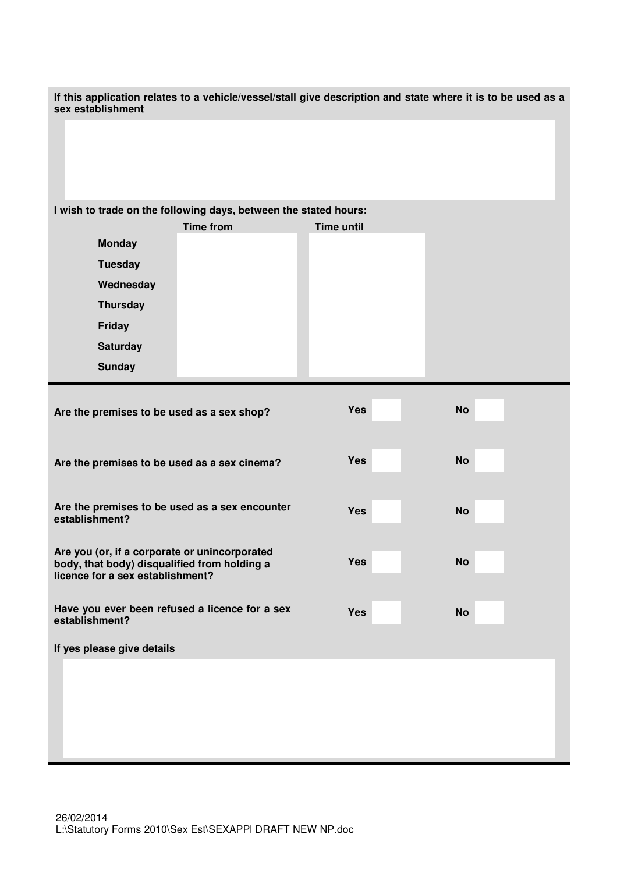| If this application relates to a vehicle/vessel/stall give description and state where it is to be used as a<br>sex establishment |                   |           |  |  |  |
|-----------------------------------------------------------------------------------------------------------------------------------|-------------------|-----------|--|--|--|
|                                                                                                                                   |                   |           |  |  |  |
| I wish to trade on the following days, between the stated hours:                                                                  |                   |           |  |  |  |
| <b>Time from</b>                                                                                                                  | <b>Time until</b> |           |  |  |  |
| <b>Monday</b>                                                                                                                     |                   |           |  |  |  |
| <b>Tuesday</b>                                                                                                                    |                   |           |  |  |  |
| Wednesday                                                                                                                         |                   |           |  |  |  |
| <b>Thursday</b>                                                                                                                   |                   |           |  |  |  |
| Friday                                                                                                                            |                   |           |  |  |  |
| <b>Saturday</b>                                                                                                                   |                   |           |  |  |  |
| <b>Sunday</b>                                                                                                                     |                   |           |  |  |  |
| Are the premises to be used as a sex shop?                                                                                        | <b>Yes</b>        | <b>No</b> |  |  |  |
| Are the premises to be used as a sex cinema?                                                                                      | Yes               | <b>No</b> |  |  |  |
| Are the premises to be used as a sex encounter<br>establishment?                                                                  | Yes               | <b>No</b> |  |  |  |
| Are you (or, if a corporate or unincorporated<br>body, that body) disqualified from holding a<br>licence for a sex establishment? | <b>Yes</b>        | <b>No</b> |  |  |  |
| Have you ever been refused a licence for a sex<br>establishment?                                                                  | Yes               | <b>No</b> |  |  |  |
| If yes please give details                                                                                                        |                   |           |  |  |  |
|                                                                                                                                   |                   |           |  |  |  |